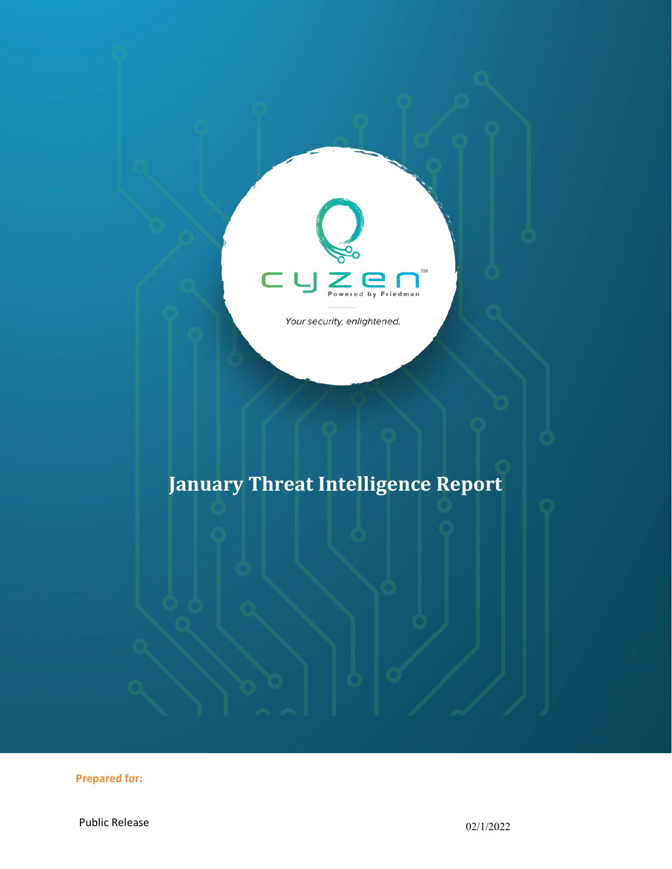

Your security, enlightened.

# **January Threat Intelligence Report**

**Prepared for:**

Public Release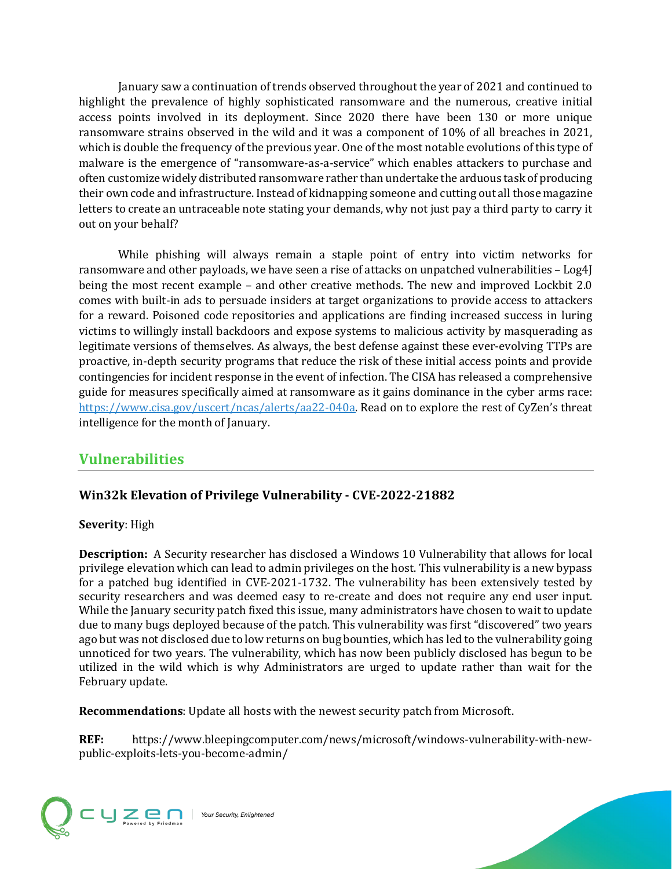January saw a continuation of trends observed throughout the year of 2021 and continued to highlight the prevalence of highly sophisticated ransomware and the numerous, creative initial access points involved in its deployment. Since 2020 there have been 130 or more unique ransomware strains observed in the wild and it was a component of 10% of all breaches in 2021, which is double the frequency of the previous year. One of the most notable evolutions of this type of malware is the emergence of "ransomware-as-a-service" which enables attackers to purchase and often customize widely distributed ransomware rather than undertake the arduous task of producing their own code and infrastructure. Instead of kidnapping someone and cutting out all those magazine letters to create an untraceable note stating your demands, why not just pay a third party to carry it out on your behalf?

While phishing will always remain a staple point of entry into victim networks for ransomware and other payloads, we have seen a rise of attacks on unpatched vulnerabilities – Log4J being the most recent example – and other creative methods. The new and improved Lockbit 2.0 comes with built-in ads to persuade insiders at target organizations to provide access to attackers for a reward. Poisoned code repositories and applications are finding increased success in luring victims to willingly install backdoors and expose systems to malicious activity by masquerading as legitimate versions of themselves. As always, the best defense against these ever-evolving TTPs are proactive, in-depth security programs that reduce the risk of these initial access points and provide contingencies for incident response in the event of infection. The CISA has released a comprehensive guide for measures specifically aimed at ransomware as it gains dominance in the cyber arms race: [https://www.cisa.gov/uscert/ncas/alerts/aa22-040a.](https://www.cisa.gov/uscert/ncas/alerts/aa22-040a) Read on to explore the rest of CyZen's threat intelligence for the month of January.

# **Vulnerabilities**

# **Win32k Elevation of Privilege Vulnerability - CVE-2022-21882**

#### **Severity**: High

**Description:** A Security researcher has disclosed a Windows 10 Vulnerability that allows for local privilege elevation which can lead to admin privileges on the host. This vulnerability is a new bypass for a patched bug identified in CVE-2021-1732. The vulnerability has been extensively tested by security researchers and was deemed easy to re-create and does not require any end user input. While the January security patch fixed this issue, many administrators have chosen to wait to update due to many bugs deployed because of the patch. This vulnerability was first "discovered" two years ago but was not disclosed due to low returns on bug bounties, which has led to the vulnerability going unnoticed for two years. The vulnerability, which has now been publicly disclosed has begun to be utilized in the wild which is why Administrators are urged to update rather than wait for the February update.

**Recommendations**: Update all hosts with the newest security patch from Microsoft.

**REF:** https://www.bleepingcomputer.com/news/microsoft/windows-vulnerability-with-newpublic-exploits-lets-you-become-admin/

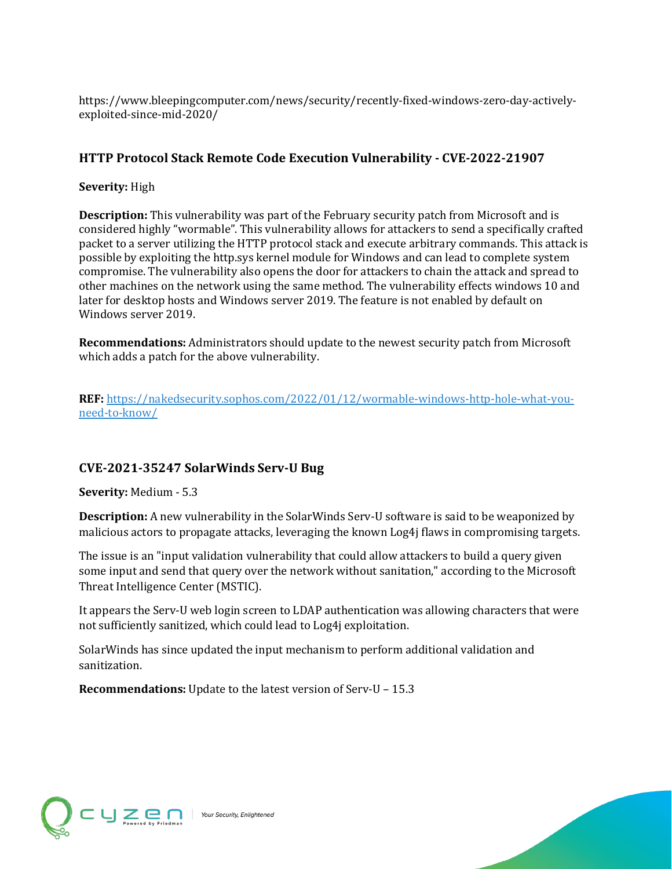https://www.bleepingcomputer.com/news/security/recently-fixed-windows-zero-day-activelyexploited-since-mid-2020/

# **HTTP Protocol Stack Remote Code Execution Vulnerability - CVE-2022-21907**

#### **Severity:** High

**Description:** This vulnerability was part of the February security patch from Microsoft and is considered highly "wormable". This vulnerability allows for attackers to send a specifically crafted packet to a server utilizing the HTTP protocol stack and execute arbitrary commands. This attack is possible by exploiting the http.sys kernel module for Windows and can lead to complete system compromise. The vulnerability also opens the door for attackers to chain the attack and spread to other machines on the network using the same method. The vulnerability effects windows 10 and later for desktop hosts and Windows server 2019. The feature is not enabled by default on Windows server 2019.

**Recommendations:** Administrators should update to the newest security patch from Microsoft which adds a patch for the above vulnerability.

**REF:** [https://nakedsecurity.sophos.com/2022/01/12/wormable-windows-http-hole-what-you](https://nakedsecurity.sophos.com/2022/01/12/wormable-windows-http-hole-what-you-need-to-know/)[need-to-know/](https://nakedsecurity.sophos.com/2022/01/12/wormable-windows-http-hole-what-you-need-to-know/)

# **CVE-2021-35247 SolarWinds Serv-U Bug**

**Severity:** Medium - 5.3

**Description:** A new vulnerability in the SolarWinds Serv-U software is said to be weaponized by malicious actors to propagate attacks, leveraging the known Log4j flaws in compromising targets.

The issue is an "input validation vulnerability that could allow attackers to build a query given some input and send that query over the network without sanitation," according to the Microsoft Threat Intelligence Center (MSTIC).

It appears the Serv-U web login screen to LDAP authentication was allowing characters that were not sufficiently sanitized, which could lead to Log4j exploitation.

SolarWinds has since updated the input mechanism to perform additional validation and sanitization.

**Recommendations:** Update to the latest version of Serv-U – 15.3

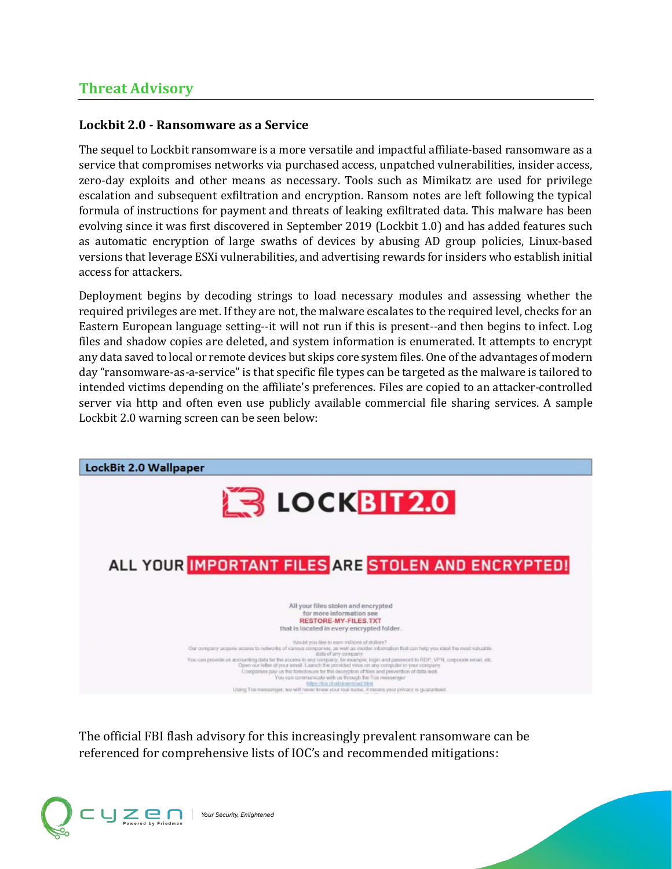# **Threat Advisory**

## **Lockbit 2.0 - Ransomware as a Service**

The sequel to Lockbit ransomware is a more versatile and impactful affiliate-based ransomware as a service that compromises networks via purchased access, unpatched vulnerabilities, insider access, zero-day exploits and other means as necessary. Tools such as Mimikatz are used for privilege escalation and subsequent exfiltration and encryption. Ransom notes are left following the typical formula of instructions for payment and threats of leaking exfiltrated data. This malware has been evolving since it was first discovered in September 2019 (Lockbit 1.0) and has added features such as automatic encryption of large swaths of devices by abusing AD group policies, Linux-based versions that leverage ESXi vulnerabilities, and advertising rewards for insiders who establish initial access for attackers.

Deployment begins by decoding strings to load necessary modules and assessing whether the required privileges are met. If they are not, the malware escalates to the required level, checks for an Eastern European language setting--it will not run if this is present--and then begins to infect. Log files and shadow copies are deleted, and system information is enumerated. It attempts to encrypt any data saved to local or remote devices but skips core system files. One of the advantages of modern day "ransomware-as-a-service" is that specific file types can be targeted as the malware is tailored to intended victims depending on the affiliate's preferences. Files are copied to an attacker-controlled server via http and often even use publicly available commercial file sharing services. A sample Lockbit 2.0 warning screen can be seen below:



The official FBI flash advisory for this increasingly prevalent ransomware can be referenced for comprehensive lists of IOC's and recommended mitigations:

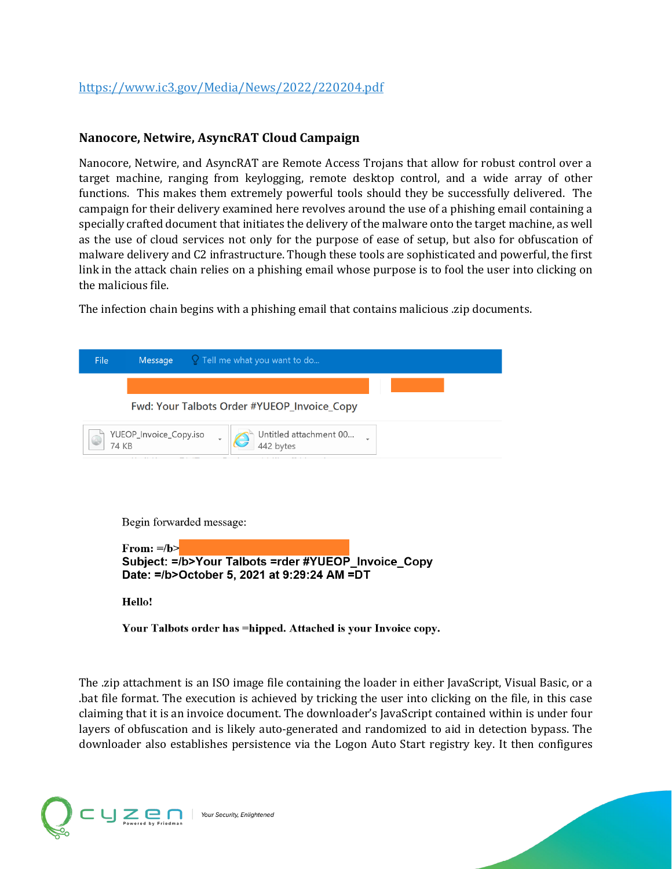#### **Nanocore, Netwire, AsyncRAT Cloud Campaign**

Nanocore, Netwire, and AsyncRAT are Remote Access Trojans that allow for robust control over a target machine, ranging from keylogging, remote desktop control, and a wide array of other functions. This makes them extremely powerful tools should they be successfully delivered. The campaign for their delivery examined here revolves around the use of a phishing email containing a specially crafted document that initiates the delivery of the malware onto the target machine, as well as the use of cloud services not only for the purpose of ease of setup, but also for obfuscation of malware delivery and C2 infrastructure. Though these tools are sophisticated and powerful, the first link in the attack chain relies on a phishing email whose purpose is to fool the user into clicking on the malicious file.

The infection chain begins with a phishing email that contains malicious .zip documents.

| File                                                                                                                  |  | <b>Message</b> $\qquad$ <b>2</b> Tell me what you want to do |
|-----------------------------------------------------------------------------------------------------------------------|--|--------------------------------------------------------------|
|                                                                                                                       |  |                                                              |
| Fwd: Your Talbots Order #YUEOP_Invoice_Copy                                                                           |  |                                                              |
| Untitled attachment 00<br>YUEOP_Invoice_Copy.iso<br>74 KB<br>442 bytes                                                |  |                                                              |
|                                                                                                                       |  |                                                              |
|                                                                                                                       |  |                                                              |
| Begin forwarded message:                                                                                              |  |                                                              |
| From: $=$ /b><br>Subject: = /b>Your Talbots = rder #YUEOP_Invoice_Copy<br>Date: =/b>October 5, 2021 at 9:29:24 AM =DT |  |                                                              |
| Hello!                                                                                                                |  |                                                              |

Your Talbots order has =hipped. Attached is your Invoice copy.

The .zip attachment is an ISO image file containing the loader in either JavaScript, Visual Basic, or a .bat file format. The execution is achieved by tricking the user into clicking on the file, in this case claiming that it is an invoice document. The downloader's JavaScript contained within is under four layers of obfuscation and is likely auto-generated and randomized to aid in detection bypass. The downloader also establishes persistence via the Logon Auto Start registry key. It then configures

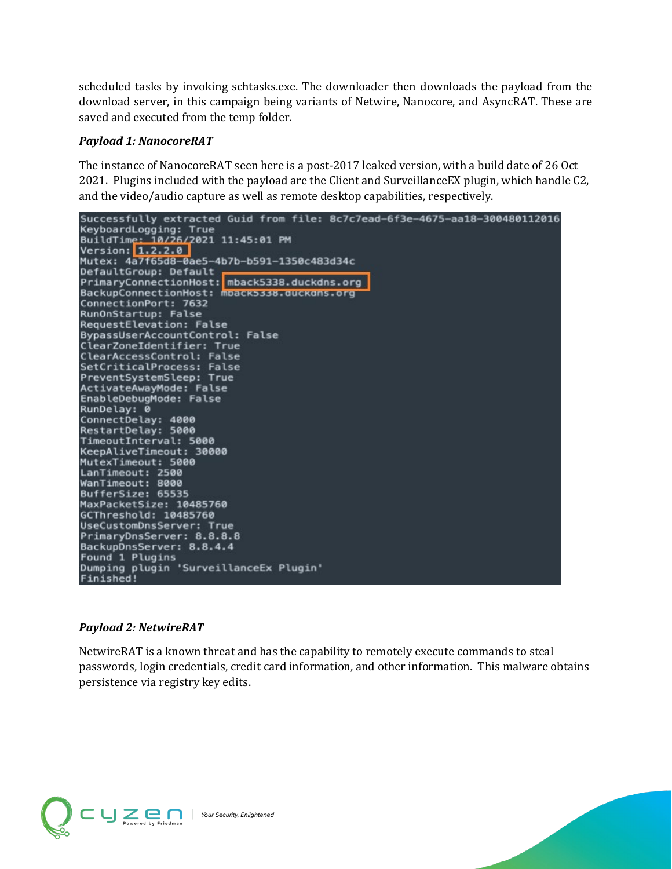scheduled tasks by invoking schtasks.exe. The downloader then downloads the payload from the download server, in this campaign being variants of Netwire, Nanocore, and AsyncRAT. These are saved and executed from the temp folder.

#### *Payload 1: NanocoreRAT*

The instance of NanocoreRAT seen here is a post-2017 leaked version, with a build date of 26 Oct 2021. Plugins included with the payload are the Client and SurveillanceEX plugin, which handle C2, and the video/audio capture as well as remote desktop capabilities, respectively.



#### *Payload 2: NetwireRAT*

NetwireRAT is a known threat and has the capability to remotely execute commands to steal passwords, login credentials, credit card information, and other information. This malware obtains persistence via registry key edits.

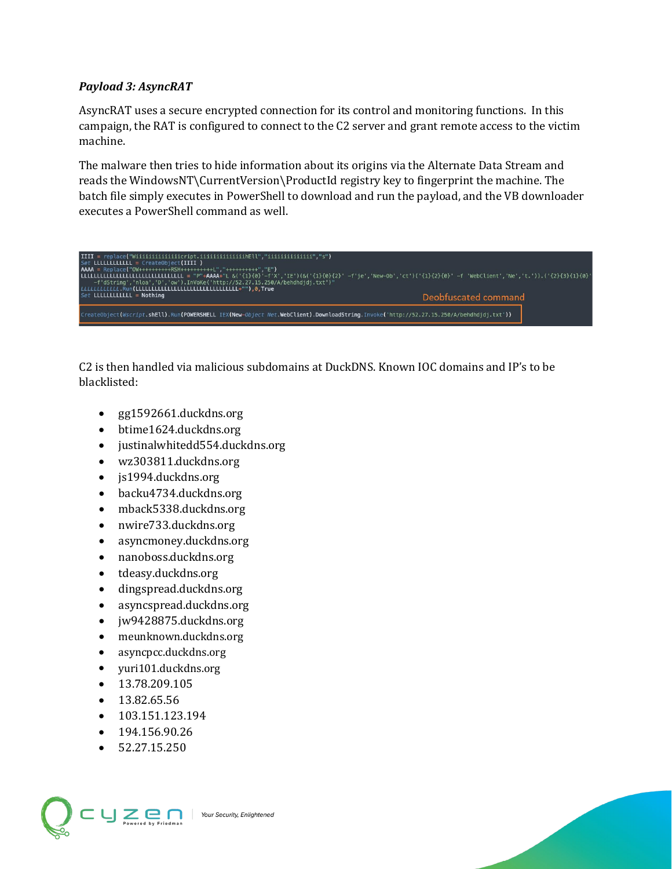#### *Payload 3: AsyncRAT*

AsyncRAT uses a secure encrypted connection for its control and monitoring functions. In this campaign, the RAT is configured to connect to the C2 server and grant remote access to the victim machine.

The malware then tries to hide information about its origins via the Alternate Data Stream and reads the WindowsNT\CurrentVersion\ProductId registry key to fingerprint the machine. The batch file simply executes in PowerShell to download and run the payload, and the VB downloader executes a PowerShell command as well.



C2 is then handled via malicious subdomains at DuckDNS. Known IOC domains and IP's to be blacklisted:

- gg1592661.duckdns.org
- btime1624.duckdns.org
- justinalwhitedd554.duckdns.org
- wz303811.duckdns.org
- js1994.duckdns.org
- backu4734.duckdns.org
- mback5338.duckdns.org
- nwire733.duckdns.org
- asyncmoney.duckdns.org
- nanoboss.duckdns.org
- tdeasy.duckdns.org
- dingspread.duckdns.org
- asyncspread.duckdns.org
- jw9428875.duckdns.org
- meunknown.duckdns.org
- asyncpcc.duckdns.org
- yuri101.duckdns.org
- 13.78.209.105
- 13.82.65.56
- 103.151.123.194
- $194.156.90.26$
- 52.27.15.250

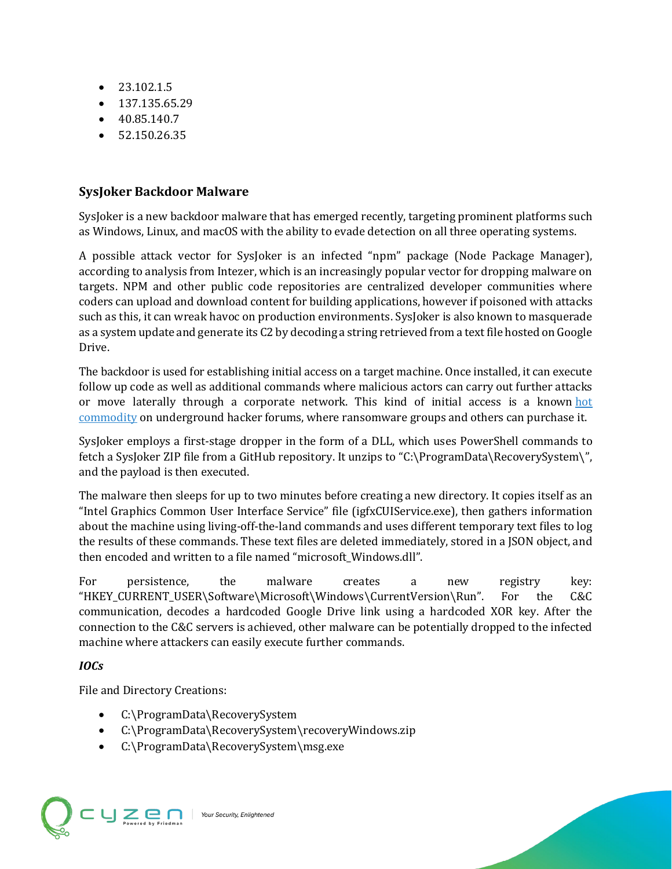- 23.102.1.5
- 137.135.65.29
- 40.85.140.7
- $\bullet$  52.150.26.35

# **SysJoker Backdoor Malware**

SysJoker is a new backdoor malware that has emerged recently, targeting prominent platforms such as Windows, Linux, and macOS with the ability to evade detection on all three operating systems.

A possible attack vector for SysJoker is an infected "npm" package (Node Package Manager), according to analysis from Intezer, which is an increasingly popular vector for dropping malware on targets. NPM and other public code repositories are centralized developer communities where coders can upload and download content for building applications, however if poisoned with attacks such as this, it can wreak havoc on production environments. SysJoker is also known to masquerade as a system update and generate its C2 by decoding a string retrieved from a text file hosted on Google Drive.

The backdoor is used for establishing initial access on a target machine. Once installed, it can execute follow up code as well as additional commands where malicious actors can carry out further attacks or move laterally through a corporate network. This kind of initial access is a known [hot](https://threatpost.com/booming-cyber-underground-market-initial-access-brokers/166965/)  [commodity](https://threatpost.com/booming-cyber-underground-market-initial-access-brokers/166965/) on underground hacker forums, where ransomware groups and others can purchase it.

SysJoker employs a first-stage dropper in the form of a DLL, which uses PowerShell commands to fetch a SysJoker ZIP file from a GitHub repository. It unzips to "C:\ProgramData\RecoverySystem\", and the payload is then executed.

The malware then sleeps for up to two minutes before creating a new directory. It copies itself as an "Intel Graphics Common User Interface Service" file (igfxCUIService.exe), then gathers information about the machine using living-off-the-land commands and uses different temporary text files to log the results of these commands. These text files are deleted immediately, stored in a JSON object, and then encoded and written to a file named "microsoft\_Windows.dll".

For persistence, the malware creates a new registry key: "HKEY\_CURRENT\_USER\Software\Microsoft\Windows\CurrentVersion\Run". For the C&C communication, decodes a hardcoded Google Drive link using a hardcoded XOR key. After the connection to the C&C servers is achieved, other malware can be potentially dropped to the infected machine where attackers can easily execute further commands.

# *IOCs*

File and Directory Creations:

- C:\ProgramData\RecoverySystem
- C:\ProgramData\RecoverySystem\recoveryWindows.zip
- C:\ProgramData\RecoverySystem\msg.exe

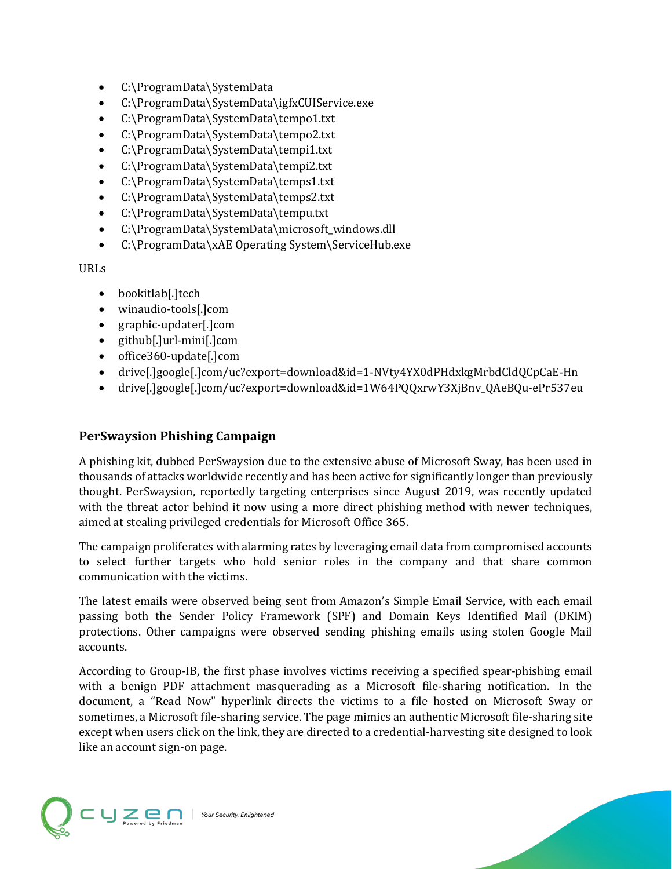- C:\ProgramData\SystemData
- C:\ProgramData\SystemData\igfxCUIService.exe
- C:\ProgramData\SystemData\tempo1.txt
- C:\ProgramData\SystemData\tempo2.txt
- C:\ProgramData\SystemData\tempi1.txt
- C:\ProgramData\SystemData\tempi2.txt
- C:\ProgramData\SystemData\temps1.txt
- C:\ProgramData\SystemData\temps2.txt
- C:\ProgramData\SystemData\tempu.txt
- C:\ProgramData\SystemData\microsoft\_windows.dll
- C:\ProgramData\xAE Operating System\ServiceHub.exe

URLs

- bookitlab[.]tech
- winaudio-tools[.]com
- graphic-updater[.]com
- github[.]url-mini[.]com
- office360-update[.]com
- drive[.]google[.]com/uc?export=download&id=1-NVty4YX0dPHdxkgMrbdCldQCpCaE-Hn
- drive[.]google[.]com/uc?export=download&id=1W64PQQxrwY3XjBnv\_QAeBQu-ePr537eu

## **PerSwaysion Phishing Campaign**

A phishing kit, dubbed PerSwaysion due to the extensive abuse of Microsoft Sway, has been used in thousands of attacks worldwide recently and has been active for significantly longer than previously thought. PerSwaysion, reportedly targeting enterprises since August 2019, was recently updated with the threat actor behind it now using a more direct phishing method with newer techniques, aimed at stealing privileged credentials for Microsoft Office 365.

The campaign proliferates with alarming rates by leveraging email data from compromised accounts to select further targets who hold senior roles in the company and that share common communication with the victims.

The latest emails were observed being sent from Amazon's Simple Email Service, with each email passing both the Sender Policy Framework (SPF) and Domain Keys Identified Mail (DKIM) protections. Other campaigns were observed sending phishing emails using stolen Google Mail accounts.

According to Group-IB, the first phase involves victims receiving a specified spear-phishing email with a benign PDF attachment masquerading as a Microsoft file-sharing notification. In the document, a "Read Now" hyperlink directs the victims to a file hosted on Microsoft Sway or sometimes, a Microsoft file-sharing service. The page mimics an authentic Microsoft file-sharing site except when users click on the link, they are directed to a credential-harvesting site designed to look like an account sign-on page.